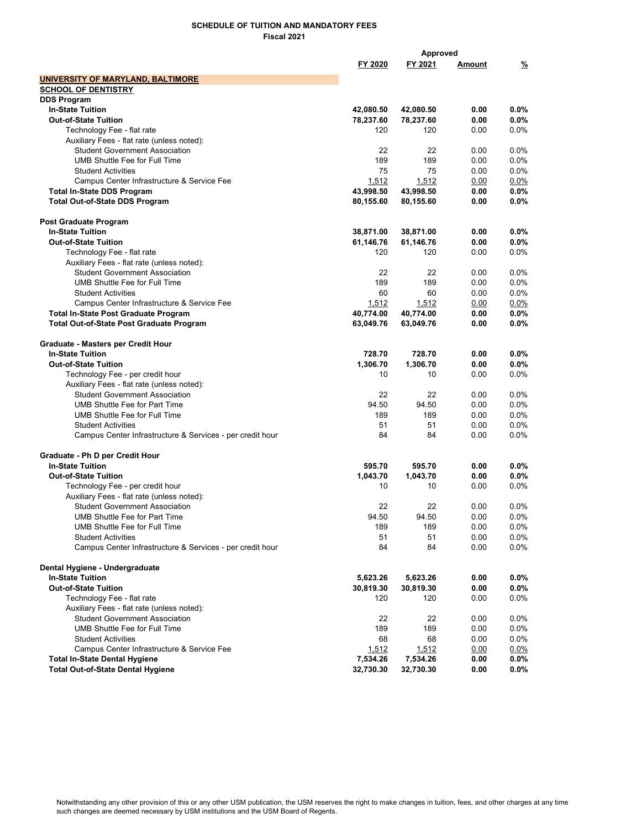|                                                           |           | Approved  |               |         |
|-----------------------------------------------------------|-----------|-----------|---------------|---------|
|                                                           | FY 2020   | FY 2021   | <u>Amount</u> | %       |
| UNIVERSITY OF MARYLAND, BALTIMORE                         |           |           |               |         |
| <b>SCHOOL OF DENTISTRY</b>                                |           |           |               |         |
| <b>DDS Program</b>                                        |           |           |               |         |
| <b>In-State Tuition</b>                                   | 42,080.50 | 42,080.50 | 0.00          | $0.0\%$ |
| <b>Out-of-State Tuition</b>                               | 78,237.60 | 78,237.60 | 0.00          | $0.0\%$ |
| Technology Fee - flat rate                                | 120       | 120       | 0.00          | 0.0%    |
| Auxiliary Fees - flat rate (unless noted):                |           |           |               |         |
| <b>Student Government Association</b>                     | 22        | 22        | 0.00          | 0.0%    |
| <b>UMB Shuttle Fee for Full Time</b>                      | 189       | 189       | 0.00          | 0.0%    |
| <b>Student Activities</b>                                 | 75        | 75        | 0.00          | 0.0%    |
| Campus Center Infrastructure & Service Fee                | 1,512     | 1,512     | 0.00          | $0.0\%$ |
| <b>Total In-State DDS Program</b>                         | 43,998.50 | 43,998.50 | 0.00          | $0.0\%$ |
| <b>Total Out-of-State DDS Program</b>                     | 80,155.60 | 80,155.60 | 0.00          | $0.0\%$ |
| Post Graduate Program                                     |           |           |               |         |
| <b>In-State Tuition</b>                                   | 38,871.00 | 38,871.00 | 0.00          | $0.0\%$ |
| <b>Out-of-State Tuition</b>                               | 61,146.76 | 61,146.76 | 0.00          | $0.0\%$ |
| Technology Fee - flat rate                                | 120       | 120       | 0.00          | 0.0%    |
| Auxiliary Fees - flat rate (unless noted):                |           |           |               |         |
| <b>Student Government Association</b>                     | 22        | 22        | 0.00          | 0.0%    |
| UMB Shuttle Fee for Full Time                             | 189       | 189       | 0.00          | 0.0%    |
| <b>Student Activities</b>                                 | 60        | 60        | 0.00          | 0.0%    |
| Campus Center Infrastructure & Service Fee                | 1,512     | 1,512     | 0.00          | 0.0%    |
| Total In-State Post Graduate Program                      | 40,774.00 | 40,774.00 | 0.00          | $0.0\%$ |
| <b>Total Out-of-State Post Graduate Program</b>           | 63,049.76 | 63,049.76 | 0.00          | $0.0\%$ |
| Graduate - Masters per Credit Hour                        |           |           |               |         |
| <b>In-State Tuition</b>                                   | 728.70    | 728.70    | 0.00          | $0.0\%$ |
| Out-of-State Tuition                                      | 1,306.70  | 1,306.70  | 0.00          | $0.0\%$ |
| Technology Fee - per credit hour                          | 10        | 10        | 0.00          | $0.0\%$ |
| Auxiliary Fees - flat rate (unless noted):                |           |           |               |         |
| <b>Student Government Association</b>                     | 22        | 22        | 0.00          | 0.0%    |
| <b>UMB Shuttle Fee for Part Time</b>                      | 94.50     | 94.50     | 0.00          | 0.0%    |
| UMB Shuttle Fee for Full Time                             | 189       | 189       | 0.00          | 0.0%    |
| <b>Student Activities</b>                                 | 51        | 51        | 0.00          | 0.0%    |
| Campus Center Infrastructure & Services - per credit hour | 84        | 84        | 0.00          | $0.0\%$ |
| Graduate - Ph D per Credit Hour                           |           |           |               |         |
| <b>In-State Tuition</b>                                   | 595.70    | 595.70    | 0.00          | $0.0\%$ |
| <b>Out-of-State Tuition</b>                               | 1,043.70  | 1,043.70  | 0.00          | $0.0\%$ |
| Technology Fee - per credit hour                          | 10        | 10        | 0.00          | $0.0\%$ |
| Auxiliary Fees - flat rate (unless noted):                |           |           |               |         |
| <b>Student Government Association</b>                     | 22        | 22        | 0.00          | 0.0%    |
| UMB Shuttle Fee for Part Time                             | 94.50     | 94.50     | 0.00          | 0.0%    |
| UMB Shuttle Fee for Full Time                             | 189       | 189       | 0.00          | 0.0%    |
| <b>Student Activities</b>                                 | 51        | 51        | 0.00          | 0.0%    |
| Campus Center Infrastructure & Services - per credit hour | 84        | 84        | 0.00          | 0.0%    |
| Dental Hygiene - Undergraduate                            |           |           |               |         |
| <b>In-State Tuition</b>                                   | 5,623.26  | 5,623.26  | 0.00          | $0.0\%$ |
| <b>Out-of-State Tuition</b>                               | 30,819.30 | 30,819.30 | 0.00          | $0.0\%$ |
| Technology Fee - flat rate                                | 120       | 120       | 0.00          | 0.0%    |
| Auxiliary Fees - flat rate (unless noted):                |           |           |               |         |
| <b>Student Government Association</b>                     | 22        | 22        | 0.00          | 0.0%    |
| UMB Shuttle Fee for Full Time                             | 189       | 189       | 0.00          | 0.0%    |
| <b>Student Activities</b>                                 | 68        | 68        | 0.00          | 0.0%    |
| Campus Center Infrastructure & Service Fee                | 1,512     | 1,512     | 0.00          | 0.0%    |
| <b>Total In-State Dental Hygiene</b>                      | 7,534.26  | 7,534.26  | 0.00          | 0.0%    |
| <b>Total Out-of-State Dental Hygiene</b>                  | 32,730.30 | 32,730.30 | 0.00          | 0.0%    |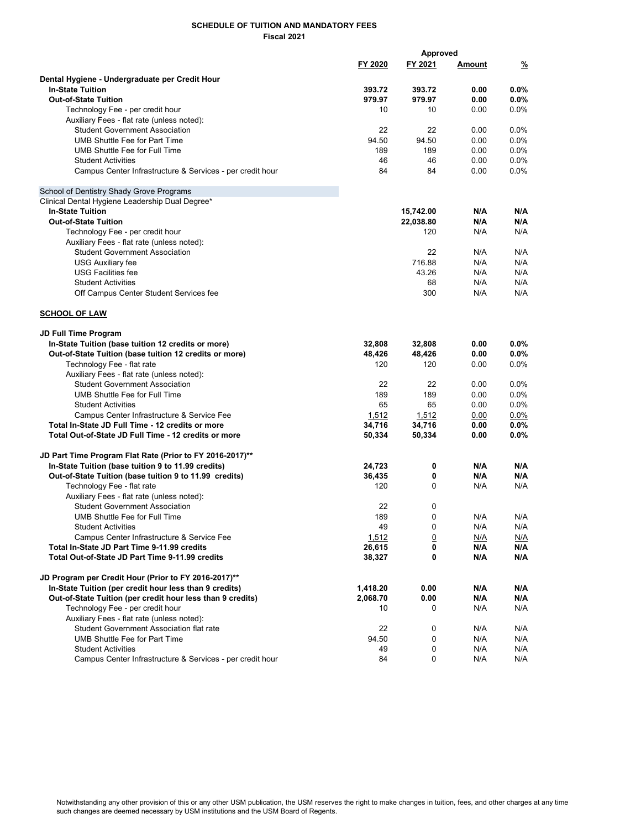|                                                            |          | Approved       |               |               |
|------------------------------------------------------------|----------|----------------|---------------|---------------|
|                                                            | FY 2020  | FY 2021        | <u>Amount</u> | $\frac{9}{6}$ |
|                                                            |          |                |               |               |
| Dental Hygiene - Undergraduate per Credit Hour             |          |                |               |               |
| <b>In-State Tuition</b>                                    | 393.72   | 393.72         | 0.00          | $0.0\%$       |
| <b>Out-of-State Tuition</b>                                | 979.97   | 979.97         | 0.00          | 0.0%          |
| Technology Fee - per credit hour                           | 10       | 10             | 0.00          | $0.0\%$       |
| Auxiliary Fees - flat rate (unless noted):                 |          |                |               |               |
| <b>Student Government Association</b>                      | 22       | 22             | 0.00          | $0.0\%$       |
| <b>UMB Shuttle Fee for Part Time</b>                       | 94.50    | 94.50          | 0.00          | 0.0%          |
| UMB Shuttle Fee for Full Time                              | 189      | 189            | 0.00          | 0.0%          |
| <b>Student Activities</b>                                  | 46       | 46             | 0.00          | 0.0%          |
| Campus Center Infrastructure & Services - per credit hour  | 84       | 84             | 0.00          | $0.0\%$       |
| School of Dentistry Shady Grove Programs                   |          |                |               |               |
| Clinical Dental Hygiene Leadership Dual Degree*            |          |                |               |               |
| <b>In-State Tuition</b>                                    |          | 15,742.00      | N/A           | N/A           |
| <b>Out-of-State Tuition</b>                                |          | 22,038.80      | N/A           | N/A           |
| Technology Fee - per credit hour                           |          | 120            | N/A           | N/A           |
| Auxiliary Fees - flat rate (unless noted):                 |          |                |               |               |
| <b>Student Government Association</b>                      |          | 22             | N/A           | N/A           |
| <b>USG Auxiliary fee</b>                                   |          | 716.88         | N/A           | N/A           |
|                                                            |          |                |               |               |
| <b>USG Facilities fee</b>                                  |          | 43.26          | N/A           | N/A           |
| <b>Student Activities</b>                                  |          | 68             | N/A           | N/A           |
| Off Campus Center Student Services fee                     |          | 300            | N/A           | N/A           |
| <b>SCHOOL OF LAW</b>                                       |          |                |               |               |
| <b>JD Full Time Program</b>                                |          |                |               |               |
| In-State Tuition (base tuition 12 credits or more)         | 32,808   | 32,808         | 0.00          | $0.0\%$       |
| Out-of-State Tuition (base tuition 12 credits or more)     | 48,426   | 48,426         | 0.00          | 0.0%          |
| Technology Fee - flat rate                                 | 120      | 120            | 0.00          | $0.0\%$       |
| Auxiliary Fees - flat rate (unless noted):                 |          |                |               |               |
| <b>Student Government Association</b>                      | 22       | 22             | 0.00          | $0.0\%$       |
| <b>UMB Shuttle Fee for Full Time</b>                       | 189      | 189            | 0.00          | 0.0%          |
| <b>Student Activities</b>                                  | 65       | 65             | 0.00          | 0.0%          |
| Campus Center Infrastructure & Service Fee                 | 1,512    | 1,512          | 0.00          | $0.0\%$       |
| Total In-State JD Full Time - 12 credits or more           | 34,716   | 34,716         | 0.00          | $0.0\%$       |
| Total Out-of-State JD Full Time - 12 credits or more       | 50,334   | 50,334         | 0.00          | $0.0\%$       |
|                                                            |          |                |               |               |
| JD Part Time Program Flat Rate (Prior to FY 2016-2017)**   |          |                |               |               |
| In-State Tuition (base tuition 9 to 11.99 credits)         | 24,723   | 0              | N/A           | N/A           |
| Out-of-State Tuition (base tuition 9 to 11.99 credits)     | 36,435   | 0              | N/A           | N/A           |
| Technology Fee - flat rate                                 | 120      | 0              | N/A           | N/A           |
| Auxiliary Fees - flat rate (unless noted):                 |          |                |               |               |
| <b>Student Government Association</b>                      | 22       | 0              |               |               |
| UMB Shuttle Fee for Full Time                              | 189      | 0              | N/A           | N/A           |
| <b>Student Activities</b>                                  | 49       | 0              | N/A           | N/A           |
| Campus Center Infrastructure & Service Fee                 | 1,512    | $\overline{0}$ | N/A           | N/A           |
| Total In-State JD Part Time 9-11.99 credits                | 26,615   | 0              | N/A           | N/A           |
| Total Out-of-State JD Part Time 9-11.99 credits            | 38,327   | 0              | N/A           | N/A           |
| JD Program per Credit Hour (Prior to FY 2016-2017)**       |          |                |               |               |
| In-State Tuition (per credit hour less than 9 credits)     | 1,418.20 | 0.00           | N/A           | N/A           |
| Out-of-State Tuition (per credit hour less than 9 credits) | 2,068.70 | 0.00           | N/A           | N/A           |
| Technology Fee - per credit hour                           | 10       | 0              | N/A           | N/A           |
| Auxiliary Fees - flat rate (unless noted):                 |          |                |               |               |
| <b>Student Government Association flat rate</b>            | 22       | 0              | N/A           | N/A           |
| <b>UMB Shuttle Fee for Part Time</b>                       |          |                |               |               |
|                                                            | 94.50    | 0              | N/A           | N/A           |
| <b>Student Activities</b>                                  | 49       | 0              | N/A           | N/A           |
| Campus Center Infrastructure & Services - per credit hour  | 84       | 0              | N/A           | N/A           |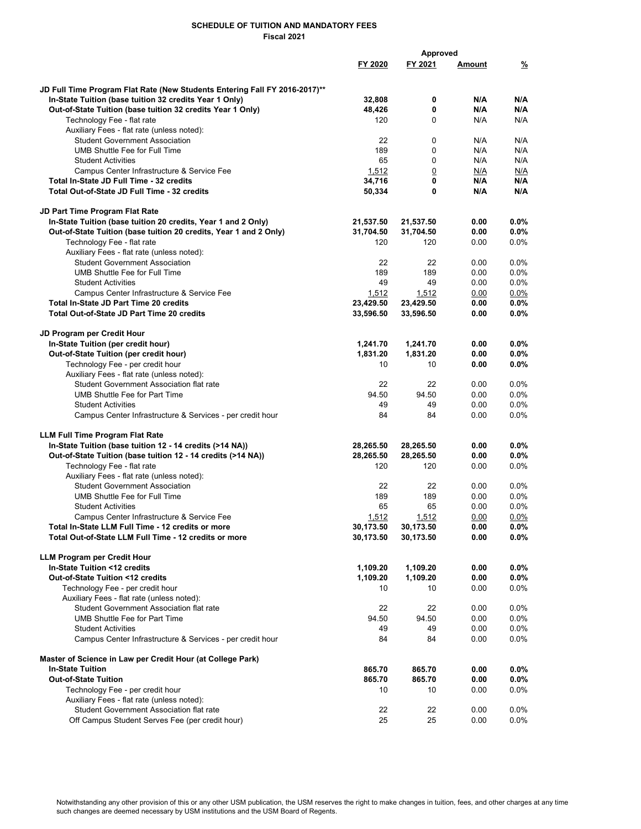|                                                                            | Approved  |                |               |         |
|----------------------------------------------------------------------------|-----------|----------------|---------------|---------|
|                                                                            | FY 2020   | FY 2021        | <u>Amount</u> | %       |
|                                                                            |           |                |               |         |
| JD Full Time Program Flat Rate (New Students Entering Fall FY 2016-2017)** |           |                |               |         |
| In-State Tuition (base tuition 32 credits Year 1 Only)                     | 32,808    | 0              | N/A           | N/A     |
| Out-of-State Tuition (base tuition 32 credits Year 1 Only)                 | 48,426    | 0              | N/A           | N/A     |
|                                                                            |           |                | N/A           | N/A     |
| Technology Fee - flat rate                                                 | 120       | 0              |               |         |
| Auxiliary Fees - flat rate (unless noted):                                 |           |                |               |         |
| <b>Student Government Association</b>                                      | 22        | 0              | N/A           | N/A     |
| <b>UMB Shuttle Fee for Full Time</b>                                       | 189       | 0              | N/A           | N/A     |
| <b>Student Activities</b>                                                  | 65        | $\mathbf 0$    | N/A           | N/A     |
| Campus Center Infrastructure & Service Fee                                 | 1,512     | $\overline{0}$ | N/A           | N/A     |
| Total In-State JD Full Time - 32 credits                                   | 34,716    | 0              | N/A           | N/A     |
| Total Out-of-State JD Full Time - 32 credits                               | 50,334    | 0              | N/A           | N/A     |
|                                                                            |           |                |               |         |
| JD Part Time Program Flat Rate                                             |           |                |               |         |
| In-State Tuition (base tuition 20 credits, Year 1 and 2 Only)              | 21,537.50 | 21,537.50      | 0.00          | 0.0%    |
| Out-of-State Tuition (base tuition 20 credits, Year 1 and 2 Only)          | 31,704.50 | 31,704.50      | 0.00          | 0.0%    |
| Technology Fee - flat rate                                                 | 120       | 120            | 0.00          | 0.0%    |
| Auxiliary Fees - flat rate (unless noted):                                 |           |                |               |         |
| <b>Student Government Association</b>                                      | 22        | 22             | 0.00          | $0.0\%$ |
| UMB Shuttle Fee for Full Time                                              | 189       | 189            | 0.00          | 0.0%    |
| <b>Student Activities</b>                                                  | 49        | 49             | 0.00          | 0.0%    |
| Campus Center Infrastructure & Service Fee                                 | 1,512     | 1,512          | 0.00          | $0.0\%$ |
| Total In-State JD Part Time 20 credits                                     | 23,429.50 | 23,429.50      | 0.00          | $0.0\%$ |
| <b>Total Out-of-State JD Part Time 20 credits</b>                          |           |                |               | 0.0%    |
|                                                                            | 33,596.50 | 33,596.50      | 0.00          |         |
|                                                                            |           |                |               |         |
| JD Program per Credit Hour                                                 |           |                |               |         |
| In-State Tuition (per credit hour)                                         | 1,241.70  | 1,241.70       | 0.00          | $0.0\%$ |
| Out-of-State Tuition (per credit hour)                                     | 1,831.20  | 1,831.20       | 0.00          | $0.0\%$ |
| Technology Fee - per credit hour                                           | 10        | 10             | 0.00          | $0.0\%$ |
| Auxiliary Fees - flat rate (unless noted):                                 |           |                |               |         |
| <b>Student Government Association flat rate</b>                            | 22        | 22             | 0.00          | $0.0\%$ |
| <b>UMB Shuttle Fee for Part Time</b>                                       | 94.50     | 94.50          | 0.00          | 0.0%    |
| <b>Student Activities</b>                                                  | 49        | 49             | 0.00          | 0.0%    |
| Campus Center Infrastructure & Services - per credit hour                  | 84        | 84             | 0.00          | 0.0%    |
|                                                                            |           |                |               |         |
| <b>LLM Full Time Program Flat Rate</b>                                     |           |                |               |         |
| In-State Tuition (base tuition 12 - 14 credits (>14 NA))                   | 28,265.50 | 28,265.50      | 0.00          | $0.0\%$ |
| Out-of-State Tuition (base tuition 12 - 14 credits (>14 NA))               | 28,265.50 | 28,265.50      | 0.00          | 0.0%    |
| Technology Fee - flat rate                                                 | 120       | 120            | 0.00          | $0.0\%$ |
| Auxiliary Fees - flat rate (unless noted):                                 |           |                |               |         |
| <b>Student Government Association</b>                                      | 22        | 22             | 0.00          | $0.0\%$ |
| UMB Shuttle Fee for Full Time                                              | 189       | 189            | 0.00          | 0.0%    |
| <b>Student Activities</b>                                                  | 65        | 65             | 0.00          | 0.0%    |
| Campus Center Infrastructure & Service Fee                                 | 1,512     | 1,512          | 0.00          | 0.0%    |
| Total In-State LLM Full Time - 12 credits or more                          | 30,173.50 | 30,173.50      | 0.00          | $0.0\%$ |
| Total Out-of-State LLM Full Time - 12 credits or more                      | 30,173.50 | 30,173.50      |               | $0.0\%$ |
|                                                                            |           |                | 0.00          |         |
| <b>LLM Program per Credit Hour</b>                                         |           |                |               |         |
| In-State Tuition <12 credits                                               | 1,109.20  |                |               | $0.0\%$ |
|                                                                            |           | 1,109.20       | 0.00          |         |
| Out-of-State Tuition <12 credits                                           | 1,109.20  | 1,109.20       | 0.00          | $0.0\%$ |
| Technology Fee - per credit hour                                           | 10        | 10             | 0.00          | 0.0%    |
| Auxiliary Fees - flat rate (unless noted):                                 |           |                |               |         |
| Student Government Association flat rate                                   | 22        | 22             | 0.00          | 0.0%    |
| <b>UMB Shuttle Fee for Part Time</b>                                       | 94.50     | 94.50          | 0.00          | $0.0\%$ |
| <b>Student Activities</b>                                                  | 49        | 49             | 0.00          | 0.0%    |
| Campus Center Infrastructure & Services - per credit hour                  | 84        | 84             | 0.00          | $0.0\%$ |
|                                                                            |           |                |               |         |
| Master of Science in Law per Credit Hour (at College Park)                 |           |                |               |         |
| <b>In-State Tuition</b>                                                    | 865.70    | 865.70         | 0.00          | $0.0\%$ |
| <b>Out-of-State Tuition</b>                                                | 865.70    | 865.70         | 0.00          | $0.0\%$ |
| Technology Fee - per credit hour                                           | 10        | 10             | 0.00          | 0.0%    |
| Auxiliary Fees - flat rate (unless noted):                                 |           |                |               |         |
| <b>Student Government Association flat rate</b>                            | 22        | 22             | 0.00          | $0.0\%$ |
| Off Campus Student Serves Fee (per credit hour)                            | 25        | 25             | 0.00          | $0.0\%$ |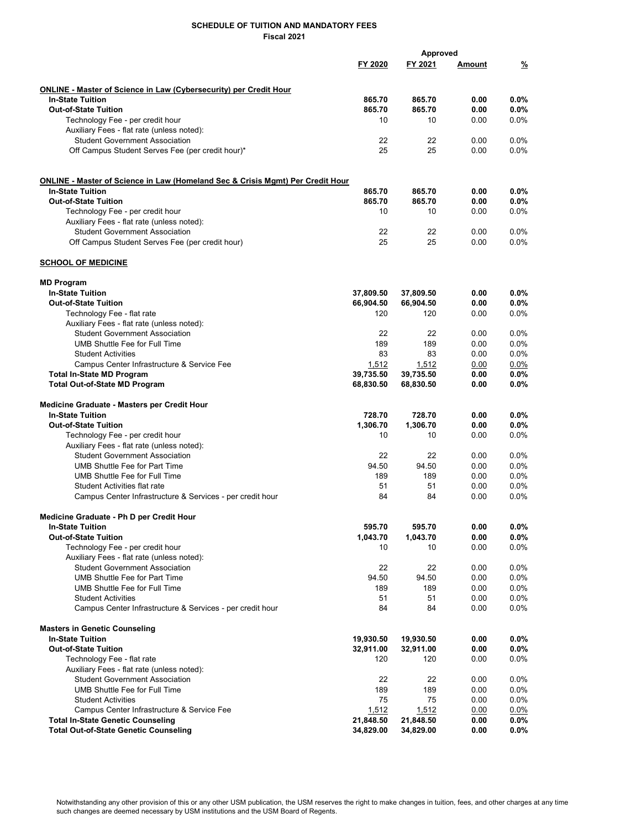|                                                                                | Approved     |              |               |                 |
|--------------------------------------------------------------------------------|--------------|--------------|---------------|-----------------|
|                                                                                | FY 2020      | FY 2021      | <u>Amount</u> | $\frac{9}{2}$   |
|                                                                                |              |              |               |                 |
| <b>ONLINE - Master of Science in Law (Cybersecurity) per Credit Hour</b>       |              |              |               |                 |
| <b>In-State Tuition</b>                                                        | 865.70       | 865.70       | 0.00          | $0.0\%$         |
| <b>Out-of-State Tuition</b>                                                    | 865.70<br>10 | 865.70<br>10 | 0.00<br>0.00  | 0.0%<br>0.0%    |
| Technology Fee - per credit hour<br>Auxiliary Fees - flat rate (unless noted): |              |              |               |                 |
| <b>Student Government Association</b>                                          | 22           | 22           | 0.00          | 0.0%            |
| Off Campus Student Serves Fee (per credit hour)*                               | 25           | 25           | 0.00          | 0.0%            |
|                                                                                |              |              |               |                 |
| ONLINE - Master of Science in Law (Homeland Sec & Crisis Mgmt) Per Credit Hour |              |              |               |                 |
| <b>In-State Tuition</b>                                                        | 865.70       | 865.70       | 0.00          | $0.0\%$         |
| <b>Out-of-State Tuition</b>                                                    | 865.70       | 865.70       | 0.00          | 0.0%            |
| Technology Fee - per credit hour                                               | 10           | 10           | 0.00          | $0.0\%$         |
| Auxiliary Fees - flat rate (unless noted):                                     |              |              |               |                 |
| <b>Student Government Association</b>                                          | 22           | 22           | 0.00          | $0.0\%$         |
| Off Campus Student Serves Fee (per credit hour)                                | 25           | 25           | 0.00          | 0.0%            |
| <b>SCHOOL OF MEDICINE</b>                                                      |              |              |               |                 |
| <b>MD Program</b>                                                              |              |              |               |                 |
| <b>In-State Tuition</b>                                                        | 37,809.50    | 37,809.50    | 0.00          | $0.0\%$         |
| <b>Out-of-State Tuition</b>                                                    | 66,904.50    | 66,904.50    | 0.00          | $0.0\%$         |
| Technology Fee - flat rate                                                     | 120          | 120          | 0.00          | 0.0%            |
| Auxiliary Fees - flat rate (unless noted):                                     |              |              |               |                 |
| <b>Student Government Association</b>                                          | 22           | 22           | 0.00          | 0.0%            |
| UMB Shuttle Fee for Full Time                                                  | 189          | 189          | 0.00          | $0.0\%$         |
| <b>Student Activities</b>                                                      | 83           | 83           | 0.00          | 0.0%            |
| Campus Center Infrastructure & Service Fee                                     | 1,512        | 1,512        | 0.00          | $0.0\%$         |
| <b>Total In-State MD Program</b>                                               | 39,735.50    | 39,735.50    | 0.00          | $0.0\%$         |
| <b>Total Out-of-State MD Program</b>                                           | 68,830.50    | 68,830.50    | 0.00          | $0.0\%$         |
| Medicine Graduate - Masters per Credit Hour                                    |              |              |               |                 |
| <b>In-State Tuition</b>                                                        | 728.70       | 728.70       | 0.00          | 0.0%            |
| <b>Out-of-State Tuition</b>                                                    | 1,306.70     | 1,306.70     | 0.00          | $0.0\%$         |
| Technology Fee - per credit hour                                               | 10           | 10           | 0.00          | 0.0%            |
| Auxiliary Fees - flat rate (unless noted):                                     |              |              |               |                 |
| <b>Student Government Association</b>                                          | 22           | 22           | 0.00          | 0.0%            |
| UMB Shuttle Fee for Part Time                                                  | 94.50        | 94.50        | 0.00          | 0.0%            |
| UMB Shuttle Fee for Full Time                                                  | 189          | 189          | 0.00          | 0.0%            |
| <b>Student Activities flat rate</b>                                            | 51           | 51           | 0.00          | 0.0%            |
| Campus Center Infrastructure & Services - per credit hour                      | 84           | 84           | 0.00          | 0.0%            |
| Medicine Graduate - Ph D per Credit Hour                                       |              |              |               |                 |
| <b>In-State Tuition</b>                                                        | 595.70       | 595.70       | 0.00          | 0.0%            |
| <b>Out-of-State Tuition</b>                                                    | 1,043.70     | 1.043.70     | 0.00          | $0.0\%$         |
| Technology Fee - per credit hour                                               | 10           | 10           | 0.00          | $0.0\%$         |
| Auxiliary Fees - flat rate (unless noted):                                     |              |              |               |                 |
| <b>Student Government Association</b>                                          | 22           | 22           | 0.00          | 0.0%            |
| <b>UMB Shuttle Fee for Part Time</b>                                           | 94.50        | 94.50        | 0.00          | $0.0\%$         |
| <b>UMB Shuttle Fee for Full Time</b>                                           | 189          | 189          | 0.00          | $0.0\%$         |
| <b>Student Activities</b>                                                      | 51           | 51           | 0.00          | $0.0\%$         |
| Campus Center Infrastructure & Services - per credit hour                      | 84           | 84           | 0.00          | 0.0%            |
| <b>Masters in Genetic Counseling</b>                                           |              |              |               |                 |
| <b>In-State Tuition</b>                                                        | 19,930.50    | 19,930.50    | 0.00          | $0.0\%$         |
| <b>Out-of-State Tuition</b>                                                    | 32,911.00    | 32,911.00    | 0.00          | 0.0%            |
| Technology Fee - flat rate                                                     | 120          | 120          | 0.00          | $0.0\%$         |
| Auxiliary Fees - flat rate (unless noted):                                     |              |              |               |                 |
| <b>Student Government Association</b><br><b>UMB Shuttle Fee for Full Time</b>  | 22           | 22           | 0.00          | $0.0\%$         |
| <b>Student Activities</b>                                                      | 189<br>75    | 189<br>75    | 0.00<br>0.00  | $0.0\%$<br>0.0% |
| Campus Center Infrastructure & Service Fee                                     | 1,512        | 1,512        |               | 0.0%            |
| <b>Total In-State Genetic Counseling</b>                                       | 21,848.50    | 21,848.50    | 0.00<br>0.00  | $0.0\%$         |
| <b>Total Out-of-State Genetic Counseling</b>                                   | 34,829.00    | 34,829.00    | 0.00          | 0.0%            |
|                                                                                |              |              |               |                 |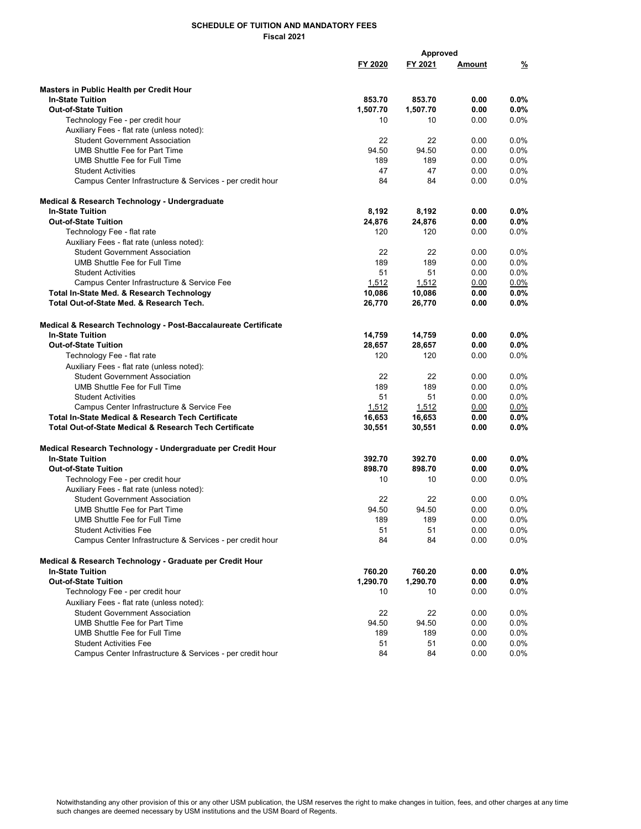|                                                                               |          | Approved |               |          |
|-------------------------------------------------------------------------------|----------|----------|---------------|----------|
|                                                                               | FY 2020  | FY 2021  | <u>Amount</u> | <u>%</u> |
|                                                                               |          |          |               |          |
| Masters in Public Health per Credit Hour                                      |          |          |               |          |
| <b>In-State Tuition</b>                                                       | 853.70   | 853.70   | 0.00          | $0.0\%$  |
| <b>Out-of-State Tuition</b>                                                   | 1,507.70 | 1,507.70 | 0.00          | 0.0%     |
| Technology Fee - per credit hour                                              | 10       | 10       | 0.00          | 0.0%     |
| Auxiliary Fees - flat rate (unless noted):                                    | 22       | 22       |               | 0.0%     |
| <b>Student Government Association</b><br><b>UMB Shuttle Fee for Part Time</b> | 94.50    | 94.50    | 0.00<br>0.00  | 0.0%     |
| <b>UMB Shuttle Fee for Full Time</b>                                          | 189      | 189      | 0.00          | 0.0%     |
| <b>Student Activities</b>                                                     | 47       | 47       | 0.00          | $0.0\%$  |
| Campus Center Infrastructure & Services - per credit hour                     | 84       | 84       | 0.00          | $0.0\%$  |
| Medical & Research Technology - Undergraduate                                 |          |          |               |          |
| <b>In-State Tuition</b>                                                       | 8,192    | 8,192    | 0.00          | $0.0\%$  |
| <b>Out-of-State Tuition</b>                                                   | 24,876   | 24,876   | 0.00          | $0.0\%$  |
| Technology Fee - flat rate                                                    | 120      | 120      | 0.00          | $0.0\%$  |
| Auxiliary Fees - flat rate (unless noted):                                    |          |          |               |          |
| <b>Student Government Association</b>                                         | 22       | 22       | 0.00          | $0.0\%$  |
| <b>UMB Shuttle Fee for Full Time</b>                                          | 189      | 189      | 0.00          | 0.0%     |
| <b>Student Activities</b>                                                     | 51       | 51       | 0.00          | $0.0\%$  |
| Campus Center Infrastructure & Service Fee                                    | 1,512    | 1,512    | 0.00          | $0.0\%$  |
| Total In-State Med. & Research Technology                                     | 10,086   | 10,086   | 0.00          | $0.0\%$  |
| Total Out-of-State Med. & Research Tech.                                      | 26,770   | 26,770   | 0.00          | $0.0\%$  |
| Medical & Research Technology - Post-Baccalaureate Certificate                |          |          |               |          |
| <b>In-State Tuition</b>                                                       | 14,759   | 14,759   | 0.00          | $0.0\%$  |
| <b>Out-of-State Tuition</b>                                                   | 28,657   | 28,657   | 0.00          | $0.0\%$  |
| Technology Fee - flat rate                                                    | 120      | 120      | 0.00          | 0.0%     |
| Auxiliary Fees - flat rate (unless noted):                                    |          |          |               |          |
| <b>Student Government Association</b>                                         | 22       | 22       | 0.00          | $0.0\%$  |
| UMB Shuttle Fee for Full Time                                                 | 189      | 189      | 0.00          | $0.0\%$  |
| <b>Student Activities</b>                                                     | 51       | 51       | 0.00          | $0.0\%$  |
| Campus Center Infrastructure & Service Fee                                    | 1,512    | 1,512    | 0.00          | 0.0%     |
| Total In-State Medical & Research Tech Certificate                            | 16,653   | 16,653   | 0.00          | $0.0\%$  |
| <b>Total Out-of-State Medical &amp; Research Tech Certificate</b>             | 30,551   | 30,551   | 0.00          | $0.0\%$  |
| Medical Research Technology - Undergraduate per Credit Hour                   |          |          |               |          |
| <b>In-State Tuition</b>                                                       | 392.70   | 392.70   | 0.00          | $0.0\%$  |
| <b>Out-of-State Tuition</b>                                                   | 898.70   | 898.70   | 0.00          | $0.0\%$  |
| Technology Fee - per credit hour                                              | 10       | 10       | 0.00          | 0.0%     |
| Auxiliary Fees - flat rate (unless noted):                                    |          |          |               |          |
| <b>Student Government Association</b>                                         | 22       | 22       | 0.00          | $0.0\%$  |
| UMB Shuttle Fee for Part Time                                                 | 94.50    | 94.50    | 0.00          | $0.0\%$  |
| UMB Shuttle Fee for Full Time                                                 | 189      | 189      | 0.00          | 0.0%     |
| <b>Student Activities Fee</b>                                                 | 51       | 51       | 0.00          | 0.0%     |
| Campus Center Infrastructure & Services - per credit hour                     | 84       | 84       | 0.00          | 0.0%     |
| Medical & Research Technology - Graduate per Credit Hour                      |          |          |               |          |
| <b>In-State Tuition</b>                                                       | 760.20   | 760.20   | 0.00          | $0.0\%$  |
| <b>Out-of-State Tuition</b>                                                   | 1,290.70 | 1,290.70 | 0.00          | $0.0\%$  |
| Technology Fee - per credit hour                                              | 10       | 10       | 0.00          | $0.0\%$  |
| Auxiliary Fees - flat rate (unless noted):                                    |          |          |               |          |
| <b>Student Government Association</b>                                         | 22       | 22       | 0.00          | 0.0%     |
| UMB Shuttle Fee for Part Time                                                 | 94.50    | 94.50    | 0.00          | $0.0\%$  |
| UMB Shuttle Fee for Full Time                                                 | 189      | 189      | 0.00          | $0.0\%$  |
| <b>Student Activities Fee</b>                                                 | 51       | 51       | 0.00          | $0.0\%$  |
| Campus Center Infrastructure & Services - per credit hour                     | 84       | 84       | 0.00          | $0.0\%$  |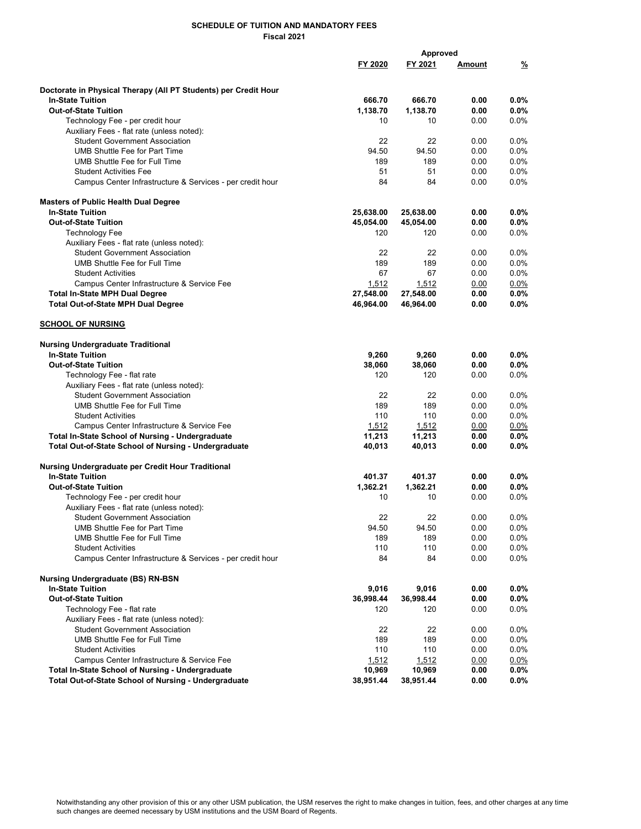|                                                                 |           | <b>Approved</b> |               |         |
|-----------------------------------------------------------------|-----------|-----------------|---------------|---------|
|                                                                 | FY 2020   | FY 2021         | <u>Amount</u> | %       |
|                                                                 |           |                 |               |         |
| Doctorate in Physical Therapy (All PT Students) per Credit Hour |           |                 |               |         |
| <b>In-State Tuition</b>                                         | 666.70    | 666.70          | 0.00          | $0.0\%$ |
| <b>Out-of-State Tuition</b>                                     | 1.138.70  | 1,138.70        | 0.00          | 0.0%    |
| Technology Fee - per credit hour                                | 10        | 10              | 0.00          | 0.0%    |
| Auxiliary Fees - flat rate (unless noted):                      |           |                 |               |         |
| <b>Student Government Association</b>                           | 22        | 22              | 0.00          | 0.0%    |
| <b>UMB Shuttle Fee for Part Time</b>                            | 94.50     | 94.50           | 0.00          | 0.0%    |
| UMB Shuttle Fee for Full Time                                   | 189       | 189             | 0.00          | $0.0\%$ |
| <b>Student Activities Fee</b>                                   | 51        | 51              | 0.00          | 0.0%    |
| Campus Center Infrastructure & Services - per credit hour       | 84        | 84              | 0.00          | $0.0\%$ |
| <b>Masters of Public Health Dual Degree</b>                     |           |                 |               |         |
| <b>In-State Tuition</b>                                         | 25,638.00 | 25,638.00       | 0.00          | $0.0\%$ |
| <b>Out-of-State Tuition</b>                                     | 45,054.00 | 45,054.00       | 0.00          | 0.0%    |
| <b>Technology Fee</b>                                           | 120       | 120             | 0.00          | 0.0%    |
| Auxiliary Fees - flat rate (unless noted):                      |           |                 |               |         |
| <b>Student Government Association</b>                           | 22        | 22              | 0.00          | 0.0%    |
| UMB Shuttle Fee for Full Time                                   | 189       | 189             | 0.00          | 0.0%    |
| <b>Student Activities</b>                                       | 67        | 67              | 0.00          | 0.0%    |
| Campus Center Infrastructure & Service Fee                      | 1,512     | 1,512           | 0.00          | $0.0\%$ |
| <b>Total In-State MPH Dual Degree</b>                           | 27,548.00 | 27,548.00       | 0.00          | $0.0\%$ |
| <b>Total Out-of-State MPH Dual Degree</b>                       | 46,964.00 | 46,964.00       | 0.00          | 0.0%    |
|                                                                 |           |                 |               |         |
| <b>SCHOOL OF NURSING</b>                                        |           |                 |               |         |
| <b>Nursing Undergraduate Traditional</b>                        |           |                 |               |         |
| <b>In-State Tuition</b>                                         | 9,260     | 9,260           | 0.00          | $0.0\%$ |
| <b>Out-of-State Tuition</b>                                     | 38,060    | 38,060          | 0.00          | $0.0\%$ |
| Technology Fee - flat rate                                      | 120       | 120             | 0.00          | $0.0\%$ |
| Auxiliary Fees - flat rate (unless noted):                      |           |                 |               |         |
| <b>Student Government Association</b>                           | 22        | 22              | 0.00          | $0.0\%$ |
| <b>UMB Shuttle Fee for Full Time</b>                            | 189       | 189             | 0.00          | 0.0%    |
| <b>Student Activities</b>                                       | 110       | 110             | 0.00          | 0.0%    |
| Campus Center Infrastructure & Service Fee                      | 1,512     | 1,512           | 0.00          | $0.0\%$ |
| <b>Total In-State School of Nursing - Undergraduate</b>         | 11,213    | 11,213          | 0.00          | 0.0%    |
| Total Out-of-State School of Nursing - Undergraduate            | 40,013    | 40,013          | 0.00          | $0.0\%$ |
| Nursing Undergraduate per Credit Hour Traditional               |           |                 |               |         |
| <b>In-State Tuition</b>                                         | 401.37    | 401.37          | 0.00          | $0.0\%$ |
| <b>Out-of-State Tuition</b>                                     | 1,362.21  | 1,362.21        | 0.00          | $0.0\%$ |
| Technology Fee - per credit hour                                | 10        | 10              | 0.00          | $0.0\%$ |
| Auxiliary Fees - flat rate (unless noted):                      |           |                 |               |         |
| <b>Student Government Association</b>                           | 22        | 22              | 0.00          | 0.0%    |
| <b>UMB Shuttle Fee for Part Time</b>                            | 94.50     | 94.50           | 0.00          | 0.0%    |
| UMB Shuttle Fee for Full Time                                   | 189       | 189             | 0.00          | $0.0\%$ |
| <b>Student Activities</b>                                       | 110       | 110             | 0.00          | 0.0%    |
| Campus Center Infrastructure & Services - per credit hour       | 84        | 84              | 0.00          | $0.0\%$ |
| <b>Nursing Undergraduate (BS) RN-BSN</b>                        |           |                 |               |         |
| <b>In-State Tuition</b>                                         | 9,016     | 9,016           | 0.00          | $0.0\%$ |
| <b>Out-of-State Tuition</b>                                     | 36,998.44 | 36,998.44       | 0.00          | 0.0%    |
| Technology Fee - flat rate                                      | 120       | 120             | 0.00          | $0.0\%$ |
| Auxiliary Fees - flat rate (unless noted):                      |           |                 |               |         |
| <b>Student Government Association</b>                           | 22        | 22              | 0.00          | $0.0\%$ |
| <b>UMB Shuttle Fee for Full Time</b>                            | 189       | 189             | 0.00          | $0.0\%$ |
| <b>Student Activities</b>                                       | 110       | 110             | 0.00          | 0.0%    |
| Campus Center Infrastructure & Service Fee                      | 1,512     | 1,512           | 0.00          | $0.0\%$ |
| <b>Total In-State School of Nursing - Undergraduate</b>         | 10,969    | 10,969          | 0.00          | $0.0\%$ |
| Total Out-of-State School of Nursing - Undergraduate            | 38,951.44 | 38,951.44       | 0.00          | $0.0\%$ |
|                                                                 |           |                 |               |         |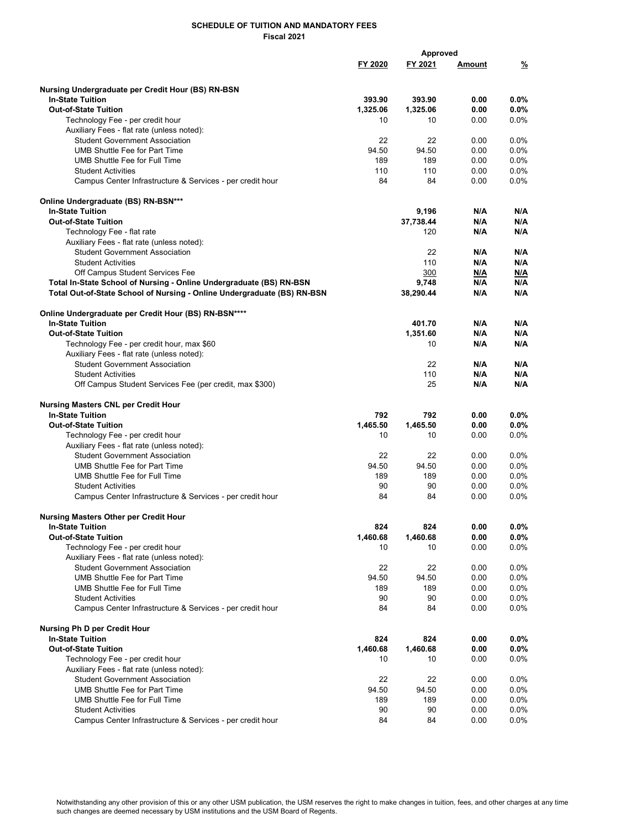|                                                                         |          | Approved  |               |               |
|-------------------------------------------------------------------------|----------|-----------|---------------|---------------|
|                                                                         | FY 2020  | FY 2021   | <u>Amount</u> | $\frac{9}{2}$ |
|                                                                         |          |           |               |               |
|                                                                         |          |           |               |               |
| Nursing Undergraduate per Credit Hour (BS) RN-BSN                       |          |           |               |               |
| <b>In-State Tuition</b>                                                 | 393.90   | 393.90    | 0.00          | $0.0\%$       |
| <b>Out-of-State Tuition</b>                                             | 1,325.06 | 1,325.06  | 0.00          | $0.0\%$       |
| Technology Fee - per credit hour                                        | 10       | 10        | 0.00          | $0.0\%$       |
| Auxiliary Fees - flat rate (unless noted):                              |          |           |               |               |
| <b>Student Government Association</b>                                   | 22       | 22        | 0.00          | $0.0\%$       |
| <b>UMB Shuttle Fee for Part Time</b>                                    | 94.50    | 94.50     | 0.00          | 0.0%          |
| UMB Shuttle Fee for Full Time                                           | 189      | 189       | 0.00          | 0.0%          |
| <b>Student Activities</b>                                               | 110      | 110       | 0.00          | $0.0\%$       |
| Campus Center Infrastructure & Services - per credit hour               | 84       | 84        | 0.00          | $0.0\%$       |
|                                                                         |          |           |               |               |
| Online Undergraduate (BS) RN-BSN***                                     |          |           |               |               |
| <b>In-State Tuition</b>                                                 |          | 9,196     | N/A           | N/A           |
| <b>Out-of-State Tuition</b>                                             |          | 37,738.44 | N/A           | N/A           |
| Technology Fee - flat rate                                              |          | 120       | N/A           | N/A           |
| Auxiliary Fees - flat rate (unless noted):                              |          |           |               |               |
| <b>Student Government Association</b>                                   |          | 22        | N/A           | N/A           |
| <b>Student Activities</b>                                               |          | 110       | N/A           | N/A           |
| Off Campus Student Services Fee                                         |          | 300       | N/A           | N/A           |
| Total In-State School of Nursing - Online Undergraduate (BS) RN-BSN     |          | 9,748     | N/A           | N/A           |
| Total Out-of-State School of Nursing - Online Undergraduate (BS) RN-BSN |          | 38,290.44 | N/A           | N/A           |
|                                                                         |          |           |               |               |
| Online Undergraduate per Credit Hour (BS) RN-BSN****                    |          |           |               |               |
| <b>In-State Tuition</b>                                                 |          | 401.70    | N/A           | N/A           |
| <b>Out-of-State Tuition</b>                                             |          | 1,351.60  | N/A           | N/A           |
| Technology Fee - per credit hour, max \$60                              |          | 10        | N/A           | N/A           |
| Auxiliary Fees - flat rate (unless noted):                              |          |           |               |               |
| <b>Student Government Association</b>                                   |          | 22        | N/A           | N/A           |
| <b>Student Activities</b>                                               |          | 110       | N/A           | N/A           |
| Off Campus Student Services Fee (per credit, max \$300)                 |          | 25        | N/A           | N/A           |
|                                                                         |          |           |               |               |
| <b>Nursing Masters CNL per Credit Hour</b>                              |          |           |               |               |
| <b>In-State Tuition</b>                                                 | 792      | 792       | 0.00          | $0.0\%$       |
| <b>Out-of-State Tuition</b>                                             | 1,465.50 | 1,465.50  | 0.00          | $0.0\%$       |
| Technology Fee - per credit hour                                        | 10       | 10        | 0.00          | 0.0%          |
| Auxiliary Fees - flat rate (unless noted):                              |          |           |               |               |
| <b>Student Government Association</b>                                   | 22       | 22        | 0.00          | 0.0%          |
| UMB Shuttle Fee for Part Time                                           | 94.50    | 94.50     | 0.00          | $0.0\%$       |
| UMB Shuttle Fee for Full Time                                           | 189      | 189       | 0.00          | $0.0\%$       |
| <b>Student Activities</b>                                               | 90       | 90        | 0.00          | $0.0\%$       |
| Campus Center Infrastructure & Services - per credit hour               | 84       | 84        | 0.00          | 0.0%          |
|                                                                         |          |           |               |               |
| Nursing Masters Other per Credit Hour                                   |          |           |               |               |
| <b>In-State Tuition</b>                                                 | 824      | 824       | 0.00          | $0.0\%$       |
| <b>Out-of-State Tuition</b>                                             | 1,460.68 | 1,460.68  | 0.00          | 0.0%          |
| Technology Fee - per credit hour                                        | 10       | 10        | 0.00          | 0.0%          |
| Auxiliary Fees - flat rate (unless noted):                              |          |           |               |               |
| <b>Student Government Association</b>                                   | 22       | 22        | 0.00          | 0.0%          |
| <b>UMB Shuttle Fee for Part Time</b>                                    | 94.50    | 94.50     | 0.00          | 0.0%          |
| <b>UMB Shuttle Fee for Full Time</b>                                    | 189      | 189       | 0.00          | $0.0\%$       |
| <b>Student Activities</b>                                               | 90       | 90        | 0.00          | $0.0\%$       |
| Campus Center Infrastructure & Services - per credit hour               | 84       | 84        | 0.00          | 0.0%          |
|                                                                         |          |           |               |               |
| Nursing Ph D per Credit Hour                                            |          |           |               |               |
| <b>In-State Tuition</b>                                                 | 824      | 824       | 0.00          | $0.0\%$       |
| <b>Out-of-State Tuition</b>                                             | 1,460.68 | 1,460.68  | 0.00          | 0.0%          |
| Technology Fee - per credit hour                                        | 10       | 10        | 0.00          | $0.0\%$       |
|                                                                         |          |           |               |               |
| Auxiliary Fees - flat rate (unless noted):                              |          |           |               |               |
| <b>Student Government Association</b>                                   | 22       | 22        | 0.00          | $0.0\%$       |
| <b>UMB Shuttle Fee for Part Time</b>                                    | 94.50    | 94.50     | 0.00          | 0.0%          |
| UMB Shuttle Fee for Full Time                                           | 189      | 189       | 0.00          | 0.0%          |
| <b>Student Activities</b>                                               | 90       | 90        | 0.00          | 0.0%          |
| Campus Center Infrastructure & Services - per credit hour               | 84       | 84        | 0.00          | 0.0%          |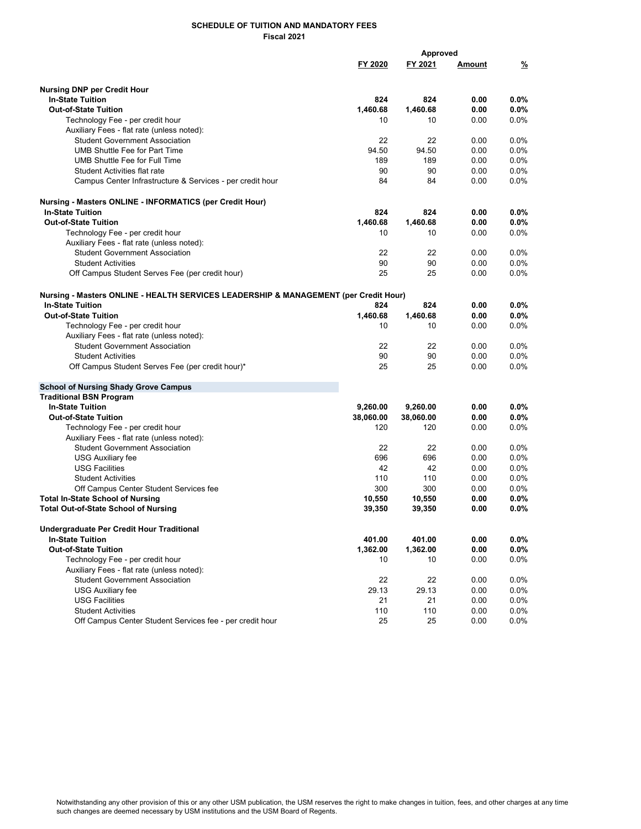|                                                                                      |           | <b>Approved</b> |               |               |  |  |
|--------------------------------------------------------------------------------------|-----------|-----------------|---------------|---------------|--|--|
|                                                                                      | FY 2020   | FY 2021         | <u>Amount</u> | $\frac{9}{2}$ |  |  |
|                                                                                      |           |                 |               |               |  |  |
| <b>Nursing DNP per Credit Hour</b><br><b>In-State Tuition</b>                        | 824       | 824             | 0.00          | $0.0\%$       |  |  |
| <b>Out-of-State Tuition</b>                                                          | 1,460.68  | 1.460.68        | 0.00          | 0.0%          |  |  |
| Technology Fee - per credit hour                                                     | 10        | 10              | 0.00          | 0.0%          |  |  |
| Auxiliary Fees - flat rate (unless noted):                                           |           |                 |               |               |  |  |
| <b>Student Government Association</b>                                                | 22        | 22              | 0.00          | 0.0%          |  |  |
| UMB Shuttle Fee for Part Time                                                        | 94.50     | 94.50           | 0.00          | 0.0%          |  |  |
| UMB Shuttle Fee for Full Time                                                        | 189       | 189             | 0.00          | 0.0%          |  |  |
| <b>Student Activities flat rate</b>                                                  | 90        | 90              | 0.00          | 0.0%          |  |  |
| Campus Center Infrastructure & Services - per credit hour                            | 84        | 84              | 0.00          | 0.0%          |  |  |
| Nursing - Masters ONLINE - INFORMATICS (per Credit Hour)                             |           |                 |               |               |  |  |
| <b>In-State Tuition</b>                                                              | 824       | 824             | 0.00          | $0.0\%$       |  |  |
| <b>Out-of-State Tuition</b>                                                          | 1,460.68  | 1,460.68        | 0.00          | 0.0%          |  |  |
| Technology Fee - per credit hour                                                     | 10        | 10              | 0.00          | 0.0%          |  |  |
| Auxiliary Fees - flat rate (unless noted):                                           |           |                 |               |               |  |  |
| <b>Student Government Association</b>                                                | 22        | 22              | 0.00          | 0.0%          |  |  |
| <b>Student Activities</b>                                                            | 90        | 90              | 0.00          | 0.0%          |  |  |
| Off Campus Student Serves Fee (per credit hour)                                      | 25        | 25              | 0.00          | 0.0%          |  |  |
| Nursing - Masters ONLINE - HEALTH SERVICES LEADERSHIP & MANAGEMENT (per Credit Hour) |           |                 |               |               |  |  |
| <b>In-State Tuition</b>                                                              | 824       | 824             | 0.00          | $0.0\%$       |  |  |
| <b>Out-of-State Tuition</b>                                                          | 1,460.68  | 1,460.68        | 0.00          | $0.0\%$       |  |  |
| Technology Fee - per credit hour                                                     | 10        | 10              | 0.00          | 0.0%          |  |  |
| Auxiliary Fees - flat rate (unless noted):                                           |           |                 |               |               |  |  |
| <b>Student Government Association</b>                                                | 22        | 22              | 0.00          | 0.0%          |  |  |
| <b>Student Activities</b>                                                            | 90        | 90              | 0.00          | 0.0%          |  |  |
| Off Campus Student Serves Fee (per credit hour)*                                     | 25        | 25              | 0.00          | 0.0%          |  |  |
| <b>School of Nursing Shady Grove Campus</b>                                          |           |                 |               |               |  |  |
| <b>Traditional BSN Program</b>                                                       |           |                 |               |               |  |  |
| <b>In-State Tuition</b>                                                              | 9,260.00  | 9,260.00        | 0.00          | 0.0%          |  |  |
| <b>Out-of-State Tuition</b>                                                          | 38,060.00 | 38,060.00       | 0.00          | $0.0\%$       |  |  |
| Technology Fee - per credit hour                                                     | 120       | 120             | 0.00          | 0.0%          |  |  |
| Auxiliary Fees - flat rate (unless noted):                                           |           |                 |               |               |  |  |
| <b>Student Government Association</b>                                                | 22        | 22              | 0.00          | $0.0\%$       |  |  |
| <b>USG Auxiliary fee</b>                                                             | 696       | 696             | 0.00          | 0.0%          |  |  |
| <b>USG Facilities</b>                                                                | 42        | 42              | 0.00          | 0.0%          |  |  |
| <b>Student Activities</b>                                                            | 110       | 110             | 0.00          | $0.0\%$       |  |  |
| Off Campus Center Student Services fee                                               | 300       | 300             | 0.00          | $0.0\%$       |  |  |
| <b>Total In-State School of Nursing</b>                                              | 10,550    | 10,550          | 0.00          | $0.0\%$       |  |  |
| <b>Total Out-of-State School of Nursing</b>                                          | 39,350    | 39,350          | 0.00          | $0.0\%$       |  |  |
| Undergraduate Per Credit Hour Traditional<br><b>In-State Tuition</b>                 | 401.00    | 401.00          | 0.00          | $0.0\%$       |  |  |
| <b>Out-of-State Tuition</b>                                                          | 1,362.00  | 1,362.00        | 0.00          | $0.0\%$       |  |  |
| Technology Fee - per credit hour                                                     | 10        | 10              | 0.00          | 0.0%          |  |  |
| Auxiliary Fees - flat rate (unless noted):                                           |           |                 |               |               |  |  |
| <b>Student Government Association</b>                                                | 22        | 22              | 0.00          | 0.0%          |  |  |
| <b>USG Auxiliary fee</b>                                                             | 29.13     | 29.13           | 0.00          | 0.0%          |  |  |
| <b>USG Facilities</b>                                                                | 21        | 21              | 0.00          | 0.0%          |  |  |
| <b>Student Activities</b>                                                            | 110       | 110             | 0.00          | 0.0%          |  |  |
| Off Campus Center Student Services fee - per credit hour                             | 25        | 25              | 0.00          | 0.0%          |  |  |
|                                                                                      |           |                 |               |               |  |  |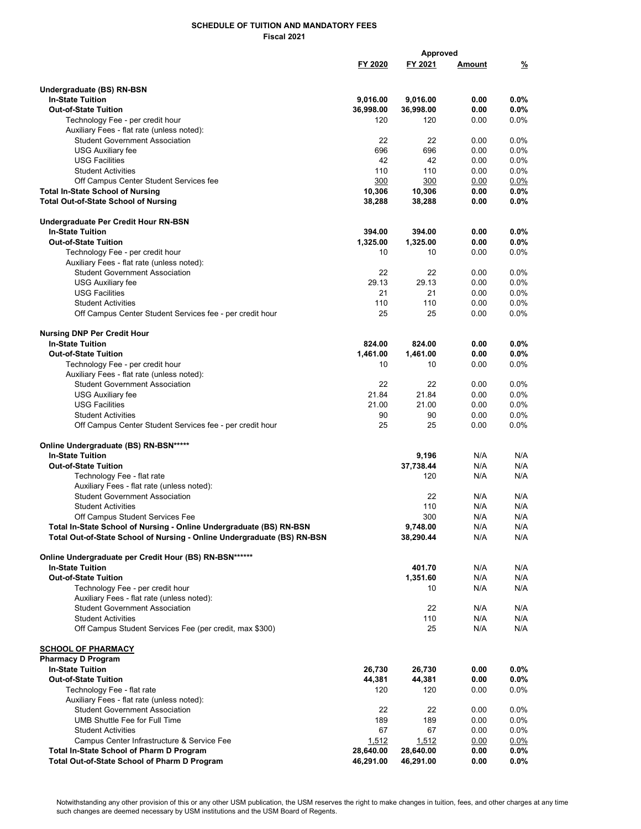|                                                                                        | Approved           |                    |               |                    |  |
|----------------------------------------------------------------------------------------|--------------------|--------------------|---------------|--------------------|--|
|                                                                                        | FY 2020            | <u>FY 2021</u>     | <u>Amount</u> | %                  |  |
|                                                                                        |                    |                    |               |                    |  |
| Undergraduate (BS) RN-BSN                                                              |                    |                    |               |                    |  |
| <b>In-State Tuition</b>                                                                | 9,016.00           | 9,016.00           | 0.00          | 0.0%               |  |
| <b>Out-of-State Tuition</b>                                                            | 36,998.00          | 36,998.00          | 0.00          | $0.0\%$            |  |
| Technology Fee - per credit hour                                                       | 120                | 120                | 0.00          | 0.0%               |  |
| Auxiliary Fees - flat rate (unless noted):                                             |                    |                    |               |                    |  |
| <b>Student Government Association</b>                                                  | 22<br>696          | 22<br>696          | 0.00<br>0.00  | 0.0%<br>$0.0\%$    |  |
| <b>USG Auxiliary fee</b><br><b>USG Facilities</b>                                      | 42                 | 42                 | 0.00          | 0.0%               |  |
| <b>Student Activities</b>                                                              | 110                | 110                | 0.00          | $0.0\%$            |  |
| Off Campus Center Student Services fee                                                 | 300                | 300                | 0.00          | 0.0%               |  |
| <b>Total In-State School of Nursing</b>                                                | 10,306             | 10,306             | 0.00          | $0.0\%$            |  |
| <b>Total Out-of-State School of Nursing</b>                                            | 38,288             | 38,288             | 0.00          | $0.0\%$            |  |
|                                                                                        |                    |                    |               |                    |  |
| Undergraduate Per Credit Hour RN-BSN                                                   |                    |                    |               |                    |  |
| <b>In-State Tuition</b><br><b>Out-of-State Tuition</b>                                 | 394.00<br>1,325.00 | 394.00             | 0.00<br>0.00  | $0.0\%$<br>0.0%    |  |
| Technology Fee - per credit hour                                                       | 10                 | 1,325.00<br>10     | 0.00          | 0.0%               |  |
| Auxiliary Fees - flat rate (unless noted):                                             |                    |                    |               |                    |  |
| <b>Student Government Association</b>                                                  | 22                 | 22                 | 0.00          | 0.0%               |  |
| <b>USG Auxiliary fee</b>                                                               | 29.13              | 29.13              | 0.00          | 0.0%               |  |
| <b>USG Facilities</b>                                                                  | 21                 | 21                 | 0.00          | 0.0%               |  |
| <b>Student Activities</b>                                                              | 110                | 110                | 0.00          | 0.0%               |  |
| Off Campus Center Student Services fee - per credit hour                               | 25                 | 25                 | 0.00          | $0.0\%$            |  |
|                                                                                        |                    |                    |               |                    |  |
| <b>Nursing DNP Per Credit Hour</b><br><b>In-State Tuition</b>                          | 824.00             |                    | 0.00          |                    |  |
| <b>Out-of-State Tuition</b>                                                            | 1,461.00           | 824.00<br>1,461.00 | 0.00          | $0.0\%$<br>0.0%    |  |
| Technology Fee - per credit hour                                                       | 10                 | 10                 | 0.00          | 0.0%               |  |
| Auxiliary Fees - flat rate (unless noted):                                             |                    |                    |               |                    |  |
| <b>Student Government Association</b>                                                  | 22                 | 22                 | 0.00          | 0.0%               |  |
| <b>USG Auxiliary fee</b>                                                               | 21.84              | 21.84              | 0.00          | 0.0%               |  |
| <b>USG Facilities</b>                                                                  | 21.00              | 21.00              | 0.00          | $0.0\%$            |  |
| <b>Student Activities</b>                                                              | 90                 | 90                 | 0.00          | 0.0%               |  |
| Off Campus Center Student Services fee - per credit hour                               | 25                 | 25                 | 0.00          | 0.0%               |  |
| Online Undergraduate (BS) RN-BSN*****                                                  |                    |                    |               |                    |  |
| <b>In-State Tuition</b>                                                                |                    | 9,196              | N/A           | N/A                |  |
| <b>Out-of-State Tuition</b>                                                            |                    | 37,738.44          | N/A           | N/A                |  |
| Technology Fee - flat rate                                                             |                    | 120                | N/A           | N/A                |  |
| Auxiliary Fees - flat rate (unless noted):                                             |                    |                    |               |                    |  |
| <b>Student Government Association</b>                                                  |                    | 22                 | N/A           | N/A                |  |
| <b>Student Activities</b>                                                              |                    | 110                | N/A           | N/A                |  |
| Off Campus Student Services Fee                                                        |                    | 300                | N/A           | N/A                |  |
| Total In-State School of Nursing - Online Undergraduate (BS) RN-BSN                    |                    | 9,748.00           | N/A           | N/A                |  |
| Total Out-of-State School of Nursing - Online Undergraduate (BS) RN-BSN                |                    | 38,290.44          | N/A           | N/A                |  |
| Online Undergraduate per Credit Hour (BS) RN-BSN******                                 |                    |                    |               |                    |  |
| <b>In-State Tuition</b>                                                                |                    | 401.70             | N/A           | N/A                |  |
| <b>Out-of-State Tuition</b>                                                            |                    | 1,351.60           | N/A           | N/A                |  |
| Technology Fee - per credit hour                                                       |                    | 10                 | N/A           | N/A                |  |
| Auxiliary Fees - flat rate (unless noted):                                             |                    |                    |               |                    |  |
| <b>Student Government Association</b>                                                  |                    | 22                 | N/A           | N/A                |  |
| <b>Student Activities</b>                                                              |                    | 110                | N/A           | N/A                |  |
| Off Campus Student Services Fee (per credit, max \$300)                                |                    | 25                 | N/A           | N/A                |  |
| <b>SCHOOL OF PHARMACY</b>                                                              |                    |                    |               |                    |  |
| <b>Pharmacy D Program</b>                                                              |                    |                    |               |                    |  |
| <b>In-State Tuition</b>                                                                | 26,730             | 26,730             | 0.00          | 0.0%               |  |
| <b>Out-of-State Tuition</b>                                                            | 44,381             | 44,381             | 0.00          | $0.0\%$            |  |
| Technology Fee - flat rate                                                             | 120                | 120                | 0.00          | $0.0\%$            |  |
| Auxiliary Fees - flat rate (unless noted):                                             |                    |                    |               |                    |  |
| <b>Student Government Association</b>                                                  | 22                 | 22                 | 0.00          | $0.0\%$            |  |
| <b>UMB Shuttle Fee for Full Time</b>                                                   | 189                | 189                | 0.00          | $0.0\%$            |  |
| <b>Student Activities</b>                                                              | 67                 | 67                 | 0.00          | $0.0\%$            |  |
| Campus Center Infrastructure & Service Fee<br>Total In-State School of Pharm D Program | 1,512<br>28,640.00 | 1,512<br>28,640.00 | 0.00<br>0.00  | $0.0\%$<br>$0.0\%$ |  |
| Total Out-of-State School of Pharm D Program                                           | 46,291.00          | 46,291.00          | 0.00          | 0.0%               |  |
|                                                                                        |                    |                    |               |                    |  |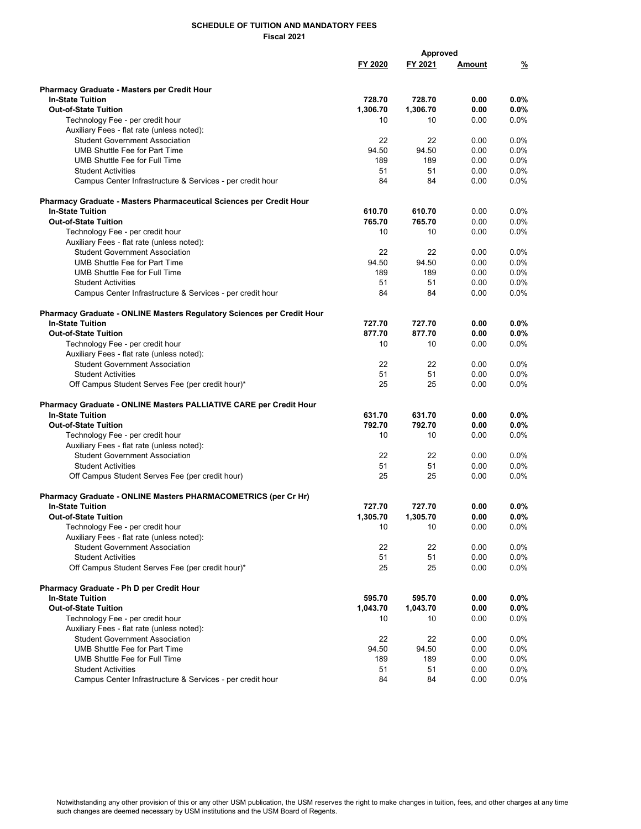|                                                                               |          | <b>Approved</b> |               |               |
|-------------------------------------------------------------------------------|----------|-----------------|---------------|---------------|
|                                                                               | FY 2020  | FY 2021         | <u>Amount</u> | $\frac{9}{2}$ |
|                                                                               |          |                 |               |               |
|                                                                               |          |                 |               |               |
| <b>Pharmacy Graduate - Masters per Credit Hour</b><br><b>In-State Tuition</b> | 728.70   | 728.70          | 0.00          | $0.0\%$       |
| <b>Out-of-State Tuition</b>                                                   | 1,306.70 | 1,306.70        | 0.00          | 0.0%          |
|                                                                               |          |                 |               |               |
| Technology Fee - per credit hour                                              | 10       | 10              | 0.00          | $0.0\%$       |
| Auxiliary Fees - flat rate (unless noted):                                    |          |                 |               |               |
| <b>Student Government Association</b>                                         | 22       | 22              | 0.00          | 0.0%          |
| <b>UMB Shuttle Fee for Part Time</b>                                          | 94.50    | 94.50           | 0.00          | 0.0%          |
| UMB Shuttle Fee for Full Time                                                 | 189      | 189             | 0.00          | $0.0\%$       |
| <b>Student Activities</b>                                                     | 51       | 51              | 0.00          | $0.0\%$       |
| Campus Center Infrastructure & Services - per credit hour                     | 84       | 84              | 0.00          | 0.0%          |
| Pharmacy Graduate - Masters Pharmaceutical Sciences per Credit Hour           |          |                 |               |               |
| <b>In-State Tuition</b>                                                       | 610.70   | 610.70          | 0.00          | $0.0\%$       |
| <b>Out-of-State Tuition</b>                                                   | 765.70   | 765.70          | 0.00          | 0.0%          |
| Technology Fee - per credit hour                                              | 10       | 10              | 0.00          | 0.0%          |
|                                                                               |          |                 |               |               |
| Auxiliary Fees - flat rate (unless noted):                                    |          |                 |               |               |
| <b>Student Government Association</b>                                         | 22       | 22              | 0.00          | $0.0\%$       |
| <b>UMB Shuttle Fee for Part Time</b>                                          | 94.50    | 94.50           | 0.00          | 0.0%          |
| UMB Shuttle Fee for Full Time                                                 | 189      | 189             | 0.00          | $0.0\%$       |
| <b>Student Activities</b>                                                     | 51       | 51              | 0.00          | 0.0%          |
| Campus Center Infrastructure & Services - per credit hour                     | 84       | 84              | 0.00          | 0.0%          |
| Pharmacy Graduate - ONLINE Masters Regulatory Sciences per Credit Hour        |          |                 |               |               |
| <b>In-State Tuition</b>                                                       | 727.70   | 727.70          | 0.00          | $0.0\%$       |
| <b>Out-of-State Tuition</b>                                                   | 877.70   | 877.70          | 0.00          | $0.0\%$       |
| Technology Fee - per credit hour                                              | 10       | 10              | 0.00          | $0.0\%$       |
| Auxiliary Fees - flat rate (unless noted):                                    |          |                 |               |               |
| <b>Student Government Association</b>                                         | 22       | 22              | 0.00          | $0.0\%$       |
|                                                                               |          |                 |               |               |
| <b>Student Activities</b>                                                     | 51       | 51              | 0.00          | 0.0%          |
| Off Campus Student Serves Fee (per credit hour)*                              | 25       | 25              | 0.00          | 0.0%          |
| Pharmacy Graduate - ONLINE Masters PALLIATIVE CARE per Credit Hour            |          |                 |               |               |
| <b>In-State Tuition</b>                                                       | 631.70   | 631.70          | 0.00          | $0.0\%$       |
| <b>Out-of-State Tuition</b>                                                   | 792.70   | 792.70          | 0.00          | $0.0\%$       |
| Technology Fee - per credit hour                                              | 10       | 10              | 0.00          | 0.0%          |
| Auxiliary Fees - flat rate (unless noted):                                    |          |                 |               |               |
| <b>Student Government Association</b>                                         | 22       | 22              | 0.00          | 0.0%          |
| <b>Student Activities</b>                                                     | 51       | 51              | 0.00          | $0.0\%$       |
| Off Campus Student Serves Fee (per credit hour)                               | 25       | 25              | 0.00          | 0.0%          |
|                                                                               |          |                 |               |               |
| Pharmacy Graduate - ONLINE Masters PHARMACOMETRICS (per Cr Hr)                |          |                 |               |               |
| <b>In-State Tuition</b>                                                       | 727.70   | 727.70          | 0.00          | $0.0\%$       |
| <b>Out-of-State Tuition</b>                                                   | 1,305.70 | 1,305.70        | 0.00          | $0.0\%$       |
| Technology Fee - per credit hour                                              | 10       | 10              | 0.00          | 0.0%          |
| Auxiliary Fees - flat rate (unless noted):                                    |          |                 |               |               |
| <b>Student Government Association</b>                                         | 22       | 22              | 0.00          | 0.0%          |
| <b>Student Activities</b>                                                     | 51       | 51              | 0.00          | $0.0\%$       |
| Off Campus Student Serves Fee (per credit hour)*                              | 25       | 25              | 0.00          | 0.0%          |
| Pharmacy Graduate - Ph D per Credit Hour                                      |          |                 |               |               |
| <b>In-State Tuition</b>                                                       | 595.70   | 595.70          |               |               |
|                                                                               |          |                 | 0.00          | $0.0\%$       |
| <b>Out-of-State Tuition</b>                                                   | 1,043.70 | 1,043.70        | 0.00          | 0.0%          |
| Technology Fee - per credit hour                                              | 10       | 10              | 0.00          | $0.0\%$       |
| Auxiliary Fees - flat rate (unless noted):                                    |          |                 |               |               |
| <b>Student Government Association</b>                                         | 22       | 22              | 0.00          | $0.0\%$       |
| <b>UMB Shuttle Fee for Part Time</b>                                          | 94.50    | 94.50           | 0.00          | 0.0%          |
| UMB Shuttle Fee for Full Time                                                 | 189      | 189             | 0.00          | $0.0\%$       |
| <b>Student Activities</b>                                                     | 51       | 51              | 0.00          | 0.0%          |
| Campus Center Infrastructure & Services - per credit hour                     | 84       | 84              | 0.00          | 0.0%          |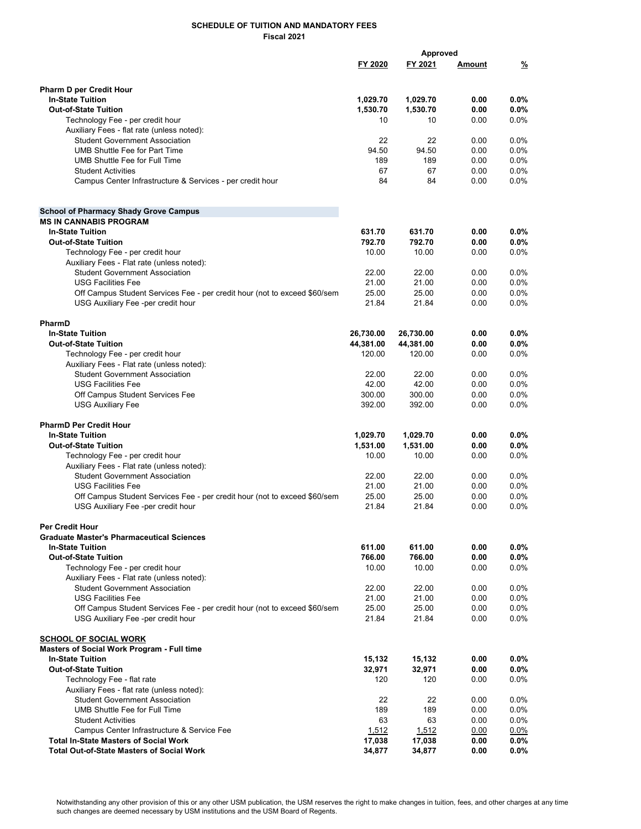|                                                                           | Approved  |           |               |               |
|---------------------------------------------------------------------------|-----------|-----------|---------------|---------------|
|                                                                           | FY 2020   | FY 2021   | <u>Amount</u> | $\frac{9}{2}$ |
|                                                                           |           |           |               |               |
|                                                                           |           |           |               |               |
| <b>Pharm D per Credit Hour</b>                                            |           |           |               |               |
| <b>In-State Tuition</b>                                                   | 1,029.70  | 1,029.70  | 0.00          | $0.0\%$       |
| <b>Out-of-State Tuition</b>                                               | 1,530.70  | 1,530.70  | 0.00          | 0.0%          |
| Technology Fee - per credit hour                                          | 10        | 10        | 0.00          | 0.0%          |
| Auxiliary Fees - flat rate (unless noted):                                |           |           |               |               |
| <b>Student Government Association</b>                                     | 22        | 22        | 0.00          | 0.0%          |
| <b>UMB Shuttle Fee for Part Time</b>                                      | 94.50     | 94.50     | 0.00          | 0.0%          |
| UMB Shuttle Fee for Full Time                                             | 189       | 189       | 0.00          | 0.0%          |
| <b>Student Activities</b>                                                 | 67        | 67        | 0.00          | 0.0%          |
| Campus Center Infrastructure & Services - per credit hour                 | 84        | 84        | 0.00          | $0.0\%$       |
|                                                                           |           |           |               |               |
|                                                                           |           |           |               |               |
| <b>School of Pharmacy Shady Grove Campus</b>                              |           |           |               |               |
| <b>MS IN CANNABIS PROGRAM</b>                                             |           |           |               |               |
| <b>In-State Tuition</b>                                                   | 631.70    | 631.70    | 0.00          | $0.0\%$       |
| <b>Out-of-State Tuition</b>                                               | 792.70    | 792.70    | 0.00          | 0.0%          |
| Technology Fee - per credit hour                                          | 10.00     | 10.00     | 0.00          | 0.0%          |
| Auxiliary Fees - Flat rate (unless noted):                                |           |           |               |               |
|                                                                           |           |           |               |               |
| <b>Student Government Association</b>                                     | 22.00     | 22.00     | 0.00          | $0.0\%$       |
| <b>USG Facilities Fee</b>                                                 | 21.00     | 21.00     | 0.00          | 0.0%          |
| Off Campus Student Services Fee - per credit hour (not to exceed \$60/sem | 25.00     | 25.00     | 0.00          | 0.0%          |
| USG Auxiliary Fee -per credit hour                                        | 21.84     | 21.84     | 0.00          | 0.0%          |
|                                                                           |           |           |               |               |
| PharmD                                                                    |           |           |               |               |
| <b>In-State Tuition</b>                                                   | 26,730.00 | 26,730.00 | 0.00          | 0.0%          |
| <b>Out-of-State Tuition</b>                                               | 44,381.00 | 44,381.00 | 0.00          | $0.0\%$       |
| Technology Fee - per credit hour                                          | 120.00    | 120.00    | 0.00          | 0.0%          |
| Auxiliary Fees - Flat rate (unless noted):                                |           |           |               |               |
| <b>Student Government Association</b>                                     | 22.00     | 22.00     | 0.00          | 0.0%          |
| <b>USG Facilities Fee</b>                                                 | 42.00     | 42.00     | 0.00          | 0.0%          |
| Off Campus Student Services Fee                                           | 300.00    | 300.00    | 0.00          | 0.0%          |
| <b>USG Auxiliary Fee</b>                                                  | 392.00    | 392.00    | 0.00          | 0.0%          |
|                                                                           |           |           |               |               |
| <b>PharmD Per Credit Hour</b>                                             |           |           |               |               |
| <b>In-State Tuition</b>                                                   | 1,029.70  | 1,029.70  | 0.00          | $0.0\%$       |
| <b>Out-of-State Tuition</b>                                               | 1,531.00  | 1,531.00  | 0.00          | 0.0%          |
|                                                                           |           | 10.00     |               | 0.0%          |
| Technology Fee - per credit hour                                          | 10.00     |           | 0.00          |               |
| Auxiliary Fees - Flat rate (unless noted):                                |           |           |               |               |
| <b>Student Government Association</b>                                     | 22.00     | 22.00     | 0.00          | $0.0\%$       |
| <b>USG Facilities Fee</b>                                                 | 21.00     | 21.00     | 0.00          | 0.0%          |
| Off Campus Student Services Fee - per credit hour (not to exceed \$60/sem | 25.00     | 25.00     | 0.00          | 0.0%          |
| USG Auxiliary Fee -per credit hour                                        | 21.84     | 21.84     | 0.00          | 0.0%          |
|                                                                           |           |           |               |               |
| Per Credit Hour                                                           |           |           |               |               |
| <b>Graduate Master's Pharmaceutical Sciences</b>                          |           |           |               |               |
| <b>In-State Tuition</b>                                                   | 611.00    | 611.00    | 0.00          | $0.0\%$       |
| <b>Out-of-State Tuition</b>                                               | 766.00    | 766.00    | 0.00          | $0.0\%$       |
| Technology Fee - per credit hour                                          | 10.00     | 10.00     | 0.00          | 0.0%          |
| Auxiliary Fees - Flat rate (unless noted):                                |           |           |               |               |
| <b>Student Government Association</b>                                     | 22.00     | 22.00     | 0.00          | $0.0\%$       |
| <b>USG Facilities Fee</b>                                                 | 21.00     | 21.00     | 0.00          | 0.0%          |
| Off Campus Student Services Fee - per credit hour (not to exceed \$60/sem | 25.00     | 25.00     | 0.00          | 0.0%          |
| USG Auxiliary Fee -per credit hour                                        | 21.84     | 21.84     | 0.00          | 0.0%          |
|                                                                           |           |           |               |               |
|                                                                           |           |           |               |               |
| <b>SCHOOL OF SOCIAL WORK</b>                                              |           |           |               |               |
| Masters of Social Work Program - Full time                                |           |           |               |               |
| <b>In-State Tuition</b>                                                   | 15,132    | 15,132    | 0.00          | $0.0\%$       |
| <b>Out-of-State Tuition</b>                                               | 32,971    | 32,971    | 0.00          | 0.0%          |
| Technology Fee - flat rate                                                | 120       | 120       | 0.00          | $0.0\%$       |
| Auxiliary Fees - flat rate (unless noted):                                |           |           |               |               |
| <b>Student Government Association</b>                                     | 22        | 22        | 0.00          | 0.0%          |
| <b>UMB Shuttle Fee for Full Time</b>                                      | 189       | 189       | 0.00          | 0.0%          |
| <b>Student Activities</b>                                                 | 63        | 63        | 0.00          | $0.0\%$       |
| Campus Center Infrastructure & Service Fee                                | 1,512     | 1,512     | 0.00          | 0.0%          |
| <b>Total In-State Masters of Social Work</b>                              | 17,038    | 17,038    | 0.00          | 0.0%          |
| <b>Total Out-of-State Masters of Social Work</b>                          | 34,877    | 34,877    | 0.00          | 0.0%          |
|                                                                           |           |           |               |               |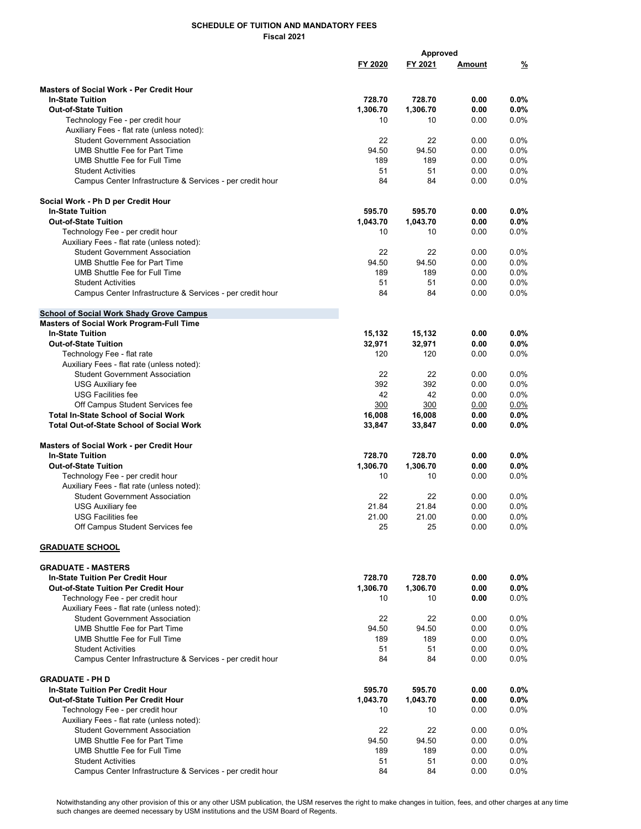|                                                           |          | Approved |               |         |
|-----------------------------------------------------------|----------|----------|---------------|---------|
|                                                           | FY 2020  | FY 2021  | <u>Amount</u> | %       |
|                                                           |          |          |               |         |
|                                                           |          |          |               |         |
| <b>Masters of Social Work - Per Credit Hour</b>           |          |          |               |         |
| <b>In-State Tuition</b>                                   | 728.70   | 728.70   | 0.00          | $0.0\%$ |
| <b>Out-of-State Tuition</b>                               | 1,306.70 | 1,306.70 | 0.00          | 0.0%    |
| Technology Fee - per credit hour                          | 10       | 10       | 0.00          | 0.0%    |
| Auxiliary Fees - flat rate (unless noted):                |          |          |               |         |
| <b>Student Government Association</b>                     | 22       | 22       | 0.00          | 0.0%    |
| <b>UMB Shuttle Fee for Part Time</b>                      | 94.50    | 94.50    | 0.00          | 0.0%    |
| UMB Shuttle Fee for Full Time                             | 189      | 189      | 0.00          | 0.0%    |
| <b>Student Activities</b>                                 | 51       | 51       | 0.00          | 0.0%    |
| Campus Center Infrastructure & Services - per credit hour | 84       | 84       | 0.00          | 0.0%    |
|                                                           |          |          |               |         |
| Social Work - Ph D per Credit Hour                        |          |          |               |         |
| <b>In-State Tuition</b>                                   | 595.70   | 595.70   | 0.00          | $0.0\%$ |
| <b>Out-of-State Tuition</b>                               | 1,043.70 | 1,043.70 | 0.00          | 0.0%    |
| Technology Fee - per credit hour                          | 10       | 10       | 0.00          | $0.0\%$ |
| Auxiliary Fees - flat rate (unless noted):                |          |          |               |         |
| <b>Student Government Association</b>                     | 22       | 22       | 0.00          | 0.0%    |
| <b>UMB Shuttle Fee for Part Time</b>                      | 94.50    | 94.50    |               | 0.0%    |
|                                                           |          |          | 0.00          |         |
| UMB Shuttle Fee for Full Time                             | 189      | 189      | 0.00          | 0.0%    |
| <b>Student Activities</b>                                 | 51       | 51       | 0.00          | 0.0%    |
| Campus Center Infrastructure & Services - per credit hour | 84       | 84       | 0.00          | $0.0\%$ |
|                                                           |          |          |               |         |
| <b>School of Social Work Shady Grove Campus</b>           |          |          |               |         |
| Masters of Social Work Program-Full Time                  |          |          |               |         |
| <b>In-State Tuition</b>                                   | 15,132   | 15,132   | 0.00          | 0.0%    |
| <b>Out-of-State Tuition</b>                               | 32,971   | 32,971   | 0.00          | $0.0\%$ |
| Technology Fee - flat rate                                | 120      | 120      | 0.00          | 0.0%    |
| Auxiliary Fees - flat rate (unless noted):                |          |          |               |         |
| <b>Student Government Association</b>                     | 22       | 22       | 0.00          | 0.0%    |
| <b>USG Auxiliary fee</b>                                  | 392      | 392      | 0.00          | $0.0\%$ |
| <b>USG Facilities fee</b>                                 | 42       | 42       | 0.00          | 0.0%    |
| Off Campus Student Services fee                           | 300      | 300      | 0.00          | $0.0\%$ |
| <b>Total In-State School of Social Work</b>               | 16,008   | 16,008   | 0.00          | $0.0\%$ |
|                                                           |          |          |               |         |
| <b>Total Out-of-State School of Social Work</b>           | 33,847   | 33,847   | 0.00          | $0.0\%$ |
|                                                           |          |          |               |         |
| Masters of Social Work - per Credit Hour                  |          |          |               |         |
| <b>In-State Tuition</b>                                   | 728.70   | 728.70   | 0.00          | 0.0%    |
| <b>Out-of-State Tuition</b>                               | 1,306.70 | 1,306.70 | 0.00          | $0.0\%$ |
| Technology Fee - per credit hour                          | 10       | 10       | 0.00          | 0.0%    |
| Auxiliary Fees - flat rate (unless noted):                |          |          |               |         |
| <b>Student Government Association</b>                     | 22       | 22       | 0.00          | 0.0%    |
| <b>USG Auxiliary fee</b>                                  | 21.84    | 21.84    | 0.00          | $0.0\%$ |
| <b>USG Facilities fee</b>                                 | 21.00    | 21.00    | 0.00          | 0.0%    |
| Off Campus Student Services fee                           | 25       | 25       | 0.00          | 0.0%    |
|                                                           |          |          |               |         |
| <b>GRADUATE SCHOOL</b>                                    |          |          |               |         |
|                                                           |          |          |               |         |
| <b>GRADUATE - MASTERS</b>                                 |          |          |               |         |
| <b>In-State Tuition Per Credit Hour</b>                   | 728.70   | 728.70   | 0.00          | $0.0\%$ |
| <b>Out-of-State Tuition Per Credit Hour</b>               | 1,306.70 | 1,306.70 | 0.00          | $0.0\%$ |
| Technology Fee - per credit hour                          | 10       | 10       | 0.00          | $0.0\%$ |
| Auxiliary Fees - flat rate (unless noted):                |          |          |               |         |
| <b>Student Government Association</b>                     | 22       | 22       | 0.00          | $0.0\%$ |
|                                                           |          |          |               |         |
| <b>UMB Shuttle Fee for Part Time</b>                      | 94.50    | 94.50    | 0.00          | 0.0%    |
| UMB Shuttle Fee for Full Time                             | 189      | 189      | 0.00          | $0.0\%$ |
| <b>Student Activities</b>                                 | 51       | 51       | 0.00          | 0.0%    |
| Campus Center Infrastructure & Services - per credit hour | 84       | 84       | 0.00          | $0.0\%$ |
|                                                           |          |          |               |         |
| <b>GRADUATE - PH D</b>                                    |          |          |               |         |
| <b>In-State Tuition Per Credit Hour</b>                   | 595.70   | 595.70   | 0.00          | $0.0\%$ |
| <b>Out-of-State Tuition Per Credit Hour</b>               | 1,043.70 | 1,043.70 | 0.00          | 0.0%    |
| Technology Fee - per credit hour                          | 10       | 10       | 0.00          | $0.0\%$ |
| Auxiliary Fees - flat rate (unless noted):                |          |          |               |         |
| <b>Student Government Association</b>                     | 22       | 22       | 0.00          | $0.0\%$ |
| <b>UMB Shuttle Fee for Part Time</b>                      | 94.50    | 94.50    | 0.00          | 0.0%    |
| UMB Shuttle Fee for Full Time                             | 189      | 189      | 0.00          | 0.0%    |
| <b>Student Activities</b>                                 | 51       | 51       | 0.00          | $0.0\%$ |
| Campus Center Infrastructure & Services - per credit hour | 84       | 84       | 0.00          | $0.0\%$ |
|                                                           |          |          |               |         |

Notwithstanding any other provision of this or any other USM publication, the USM reserves the right to make changes in tuition, fees, and other charges at any time such changes are deemed necessary by USM institutions and the USM Board of Regents.